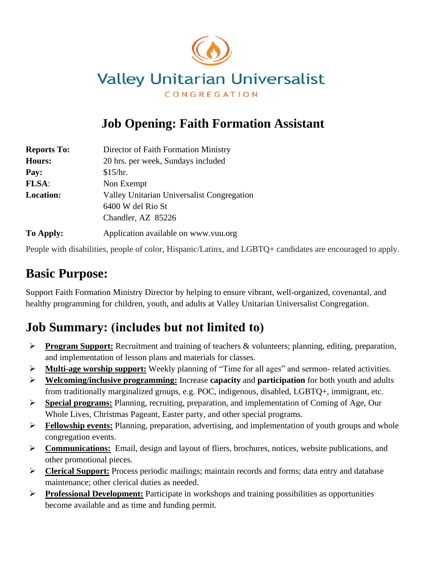

# **Job Opening: Faith Formation Assistant**

| <b>Reports To:</b> | Director of Faith Formation Ministry       |
|--------------------|--------------------------------------------|
| <b>Hours:</b>      | 20 hrs. per week, Sundays included         |
| Pay:               | \$15/hr.                                   |
| FLSA:              | Non Exempt                                 |
| <b>Location:</b>   | Valley Unitarian Universalist Congregation |
|                    | 6400 W del Rio St                          |
|                    | Chandler, AZ 85226                         |
| To Apply:          | Application available on www.vuu.org       |

People with disabilities, people of color, Hispanic/Latinx, and LGBTQ+ candidates are encouraged to apply.

# **Basic Purpose:**

Support Faith Formation Ministry Director by helping to ensure vibrant, well-organized, covenantal, and healthy programming for children, youth, and adults at Valley Unitarian Universalist Congregation.

# **Job Summary: (includes but not limited to)**

- ➢ **Program Support:** Recruitment and training of teachers & volunteers; planning, editing, preparation, and implementation of lesson plans and materials for classes.
- ➢ **Multi-age worship support:** Weekly planning of "Time for all ages" and sermon- related activities.
- ➢ **Welcoming/inclusive programming:** Increase **capacity** and **participation** for both youth and adults from traditionally marginalized groups, e.g. POC, indigenous, disabled, LGBTQ+, immigrant, etc.
- ➢ **Special programs:** Planning, recruiting, preparation, and implementation of Coming of Age, Our Whole Lives, Christmas Pageant, Easter party, and other special programs.
- ➢ **Fellowship events:** Planning, preparation, advertising, and implementation of youth groups and whole congregation events.
- ➢ **Communications:** Email, design and layout of fliers, brochures, notices, website publications, and other promotional pieces.
- ➢ **Clerical Support:** Process periodic mailings; maintain records and forms; data entry and database maintenance; other clerical duties as needed.
- ➢ **Professional Development:** Participate in workshops and training possibilities as opportunities become available and as time and funding permit.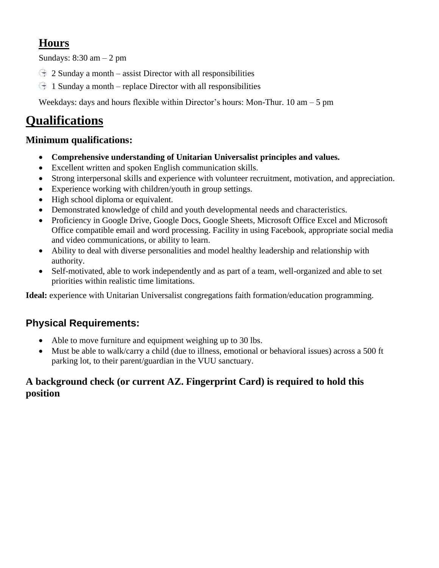## **Hours**

Sundays:  $8:30$  am  $-2$  pm

- $\bigoplus$  2 Sunday a month assist Director with all responsibilities
- $\pm$  1 Sunday a month replace Director with all responsibilities

Weekdays: days and hours flexible within Director's hours: Mon-Thur. 10 am – 5 pm

# **Qualifications**

### **Minimum qualifications:**

- **Comprehensive understanding of Unitarian Universalist principles and values.**
- Excellent written and spoken English communication skills.
- Strong interpersonal skills and experience with volunteer recruitment, motivation, and appreciation.
- Experience working with children/youth in group settings.
- High school diploma or equivalent.
- Demonstrated knowledge of child and youth developmental needs and characteristics.
- Proficiency in Google Drive, Google Docs, Google Sheets, Microsoft Office Excel and Microsoft Office compatible email and word processing. Facility in using Facebook, appropriate social media and video communications, or ability to learn.
- Ability to deal with diverse personalities and model healthy leadership and relationship with authority.
- Self-motivated, able to work independently and as part of a team, well-organized and able to set priorities within realistic time limitations.

**Ideal:** experience with Unitarian Universalist congregations faith formation/education programming.

### **Physical Requirements:**

- Able to move furniture and equipment weighing up to 30 lbs.
- Must be able to walk/carry a child (due to illness, emotional or behavioral issues) across a 500 ft parking lot, to their parent/guardian in the VUU sanctuary.

### **A background check (or current AZ. Fingerprint Card) is required to hold this position**